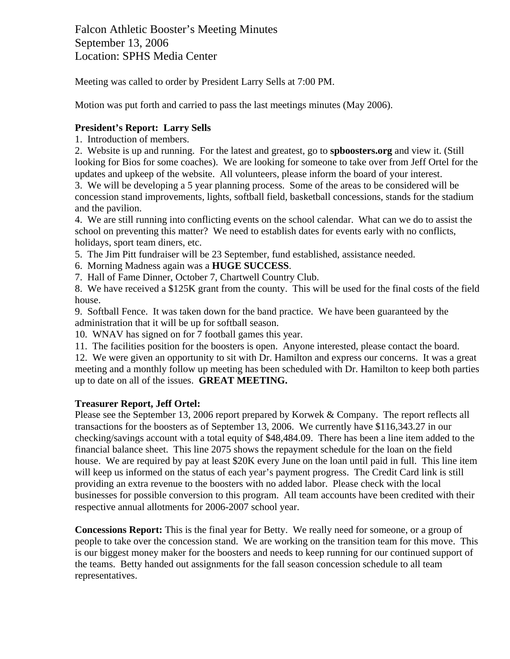Falcon Athletic Booster's Meeting Minutes September 13, 2006 Location: SPHS Media Center

Meeting was called to order by President Larry Sells at 7:00 PM.

Motion was put forth and carried to pass the last meetings minutes (May 2006).

# **President's Report: Larry Sells**

1. Introduction of members.

2. Website is up and running. For the latest and greatest, go to **spboosters.org** and view it. (Still looking for Bios for some coaches). We are looking for someone to take over from Jeff Ortel for the updates and upkeep of the website. All volunteers, please inform the board of your interest.

3. We will be developing a 5 year planning process. Some of the areas to be considered will be concession stand improvements, lights, softball field, basketball concessions, stands for the stadium and the pavilion.

4. We are still running into conflicting events on the school calendar. What can we do to assist the school on preventing this matter? We need to establish dates for events early with no conflicts, holidays, sport team diners, etc.

5. The Jim Pitt fundraiser will be 23 September, fund established, assistance needed.

- 6. Morning Madness again was a **HUGE SUCCESS**.
- 7. Hall of Fame Dinner, October 7, Chartwell Country Club.

8. We have received a \$125K grant from the county. This will be used for the final costs of the field house.

9. Softball Fence. It was taken down for the band practice. We have been guaranteed by the administration that it will be up for softball season.

10. WNAV has signed on for 7 football games this year.

11. The facilities position for the boosters is open. Anyone interested, please contact the board.

12. We were given an opportunity to sit with Dr. Hamilton and express our concerns. It was a great meeting and a monthly follow up meeting has been scheduled with Dr. Hamilton to keep both parties up to date on all of the issues. **GREAT MEETING.**

### **Treasurer Report, Jeff Ortel:**

Please see the September 13, 2006 report prepared by Korwek & Company. The report reflects all transactions for the boosters as of September 13, 2006. We currently have \$116,343.27 in our checking/savings account with a total equity of \$48,484.09. There has been a line item added to the financial balance sheet. This line 2075 shows the repayment schedule for the loan on the field house. We are required by pay at least \$20K every June on the loan until paid in full. This line item will keep us informed on the status of each year's payment progress. The Credit Card link is still providing an extra revenue to the boosters with no added labor. Please check with the local businesses for possible conversion to this program. All team accounts have been credited with their respective annual allotments for 2006-2007 school year.

**Concessions Report:** This is the final year for Betty. We really need for someone, or a group of people to take over the concession stand. We are working on the transition team for this move. This is our biggest money maker for the boosters and needs to keep running for our continued support of the teams. Betty handed out assignments for the fall season concession schedule to all team representatives.